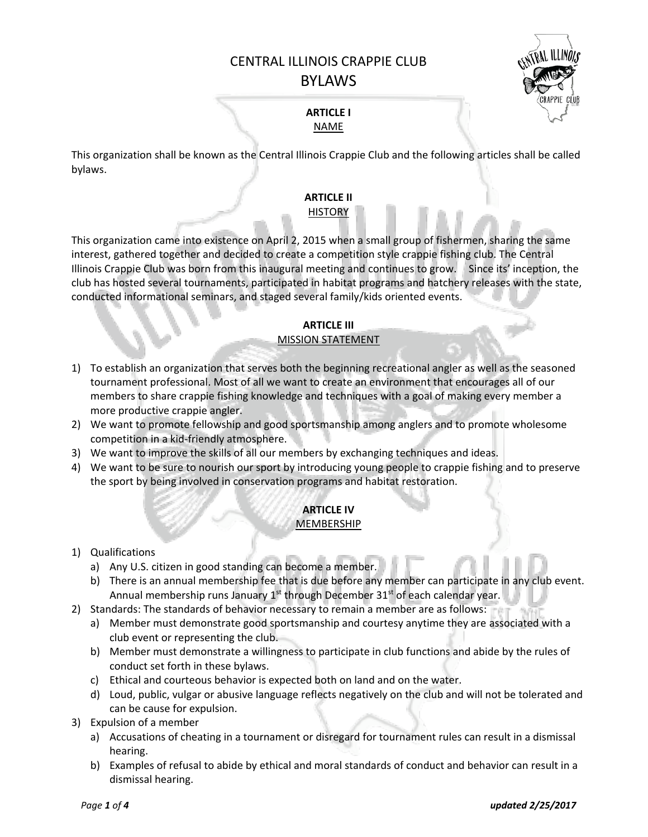## CENTRAL ILLINOIS CRAPPIE CLUB BYLAWS



## **ARTICLE I** NAME

This organization shall be known as the Central Illinois Crappie Club and the following articles shall be called bylaws.

## **ARTICLE II** HISTORY

This organization came into existence on April 2, 2015 when a small group of fishermen, sharing the same interest, gathered together and decided to create a competition style crappie fishing club. The Central Illinois Crappie Club was born from this inaugural meeting and continues to grow. Since its' inception, the club has hosted several tournaments, participated in habitat programs and hatchery releases with the state, conducted informational seminars, and staged several family/kids oriented events.

### **ARTICLE III** MISSION STATEMENT

- 1) To establish an organization that serves both the beginning recreational angler as well as the seasoned tournament professional. Most of all we want to create an environment that encourages all of our members to share crappie fishing knowledge and techniques with a goal of making every member a more productive crappie angler.
- 2) We want to promote fellowship and good sportsmanship among anglers and to promote wholesome competition in a kid-friendly atmosphere.
- 3) We want to improve the skills of all our members by exchanging techniques and ideas.
- 4) We want to be sure to nourish our sport by introducing young people to crappie fishing and to preserve the sport by being involved in conservation programs and habitat restoration.

# **ARTICLE IV**

## MEMBERSHIP

- 1) Qualifications
	- a) Any U.S. citizen in good standing can become a member.
	- b) There is an annual membership fee that is due before any member can participate in any club event. Annual membership runs January  $1<sup>st</sup>$  through December  $31<sup>st</sup>$  of each calendar year.
- 2) Standards: The standards of behavior necessary to remain a member are as follows:
	- a) Member must demonstrate good sportsmanship and courtesy anytime they are associated with a club event or representing the club.
	- b) Member must demonstrate a willingness to participate in club functions and abide by the rules of conduct set forth in these bylaws.
	- c) Ethical and courteous behavior is expected both on land and on the water.
	- d) Loud, public, vulgar or abusive language reflects negatively on the club and will not be tolerated and can be cause for expulsion.
- 3) Expulsion of a member
	- a) Accusations of cheating in a tournament or disregard for tournament rules can result in a dismissal hearing.
	- b) Examples of refusal to abide by ethical and moral standards of conduct and behavior can result in a dismissal hearing.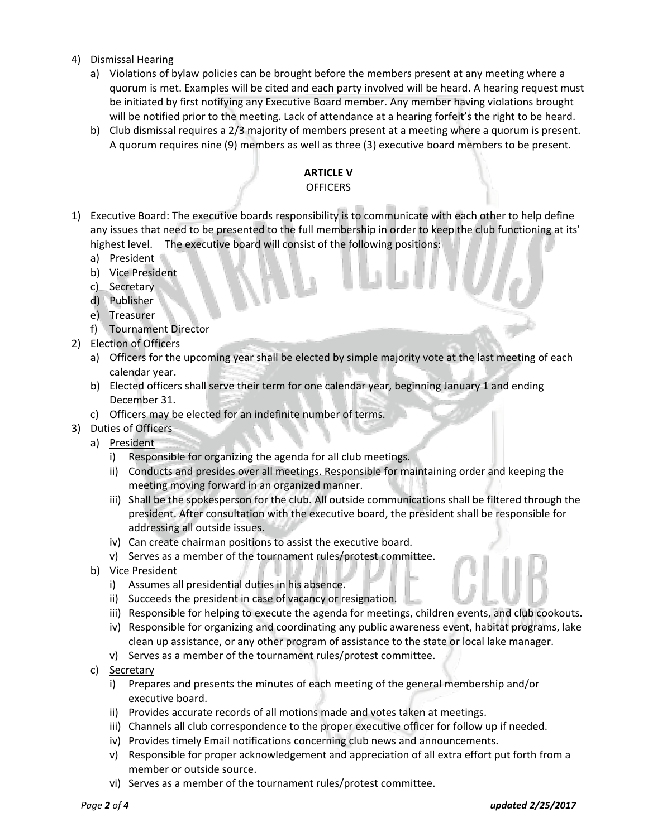- 4) Dismissal Hearing
	- a) Violations of bylaw policies can be brought before the members present at any meeting where a quorum is met. Examples will be cited and each party involved will be heard. A hearing request must be initiated by first notifying any Executive Board member. Any member having violations brought will be notified prior to the meeting. Lack of attendance at a hearing forfeit's the right to be heard.
	- b) Club dismissal requires a 2/3 majority of members present at a meeting where a quorum is present. A quorum requires nine (9) members as well as three (3) executive board members to be present.

#### **ARTICLE V OFFICERS**

- 1) Executive Board: The executive boards responsibility is to communicate with each other to help define any issues that need to be presented to the full membership in order to keep the club functioning at its' highest level. The executive board will consist of the following positions:
	- a) President
	- b) Vice President
	- c) Secretary
	- d) Publisher
	- e) Treasurer
	- f) Tournament Director
- 2) Election of Officers
	- a) Officers for the upcoming year shall be elected by simple majority vote at the last meeting of each calendar year.
	- b) Elected officers shall serve their term for one calendar year, beginning January 1 and ending December 31.
	- c) Officers may be elected for an indefinite number of terms.
- 3) Duties of Officers
	- a) President
		- i) Responsible for organizing the agenda for all club meetings.
		- ii) Conducts and presides over all meetings. Responsible for maintaining order and keeping the meeting moving forward in an organized manner.
		- iii) Shall be the spokesperson for the club. All outside communications shall be filtered through the president. After consultation with the executive board, the president shall be responsible for addressing all outside issues.
		- iv) Can create chairman positions to assist the executive board.
		- v) Serves as a member of the tournament rules/protest committee.
	- b) Vice President
		- i) Assumes all presidential duties in his absence.
		- ii) Succeeds the president in case of vacancy or resignation.
		- iii) Responsible for helping to execute the agenda for meetings, children events, and club cookouts.
		- iv) Responsible for organizing and coordinating any public awareness event, habitat programs, lake clean up assistance, or any other program of assistance to the state or local lake manager.
		- v) Serves as a member of the tournament rules/protest committee.
	- c) Secretary
		- i) Prepares and presents the minutes of each meeting of the general membership and/or executive board.
		- ii) Provides accurate records of all motions made and votes taken at meetings.
		- iii) Channels all club correspondence to the proper executive officer for follow up if needed.
		- iv) Provides timely Email notifications concerning club news and announcements.
		- v) Responsible for proper acknowledgement and appreciation of all extra effort put forth from a member or outside source.
		- vi) Serves as a member of the tournament rules/protest committee.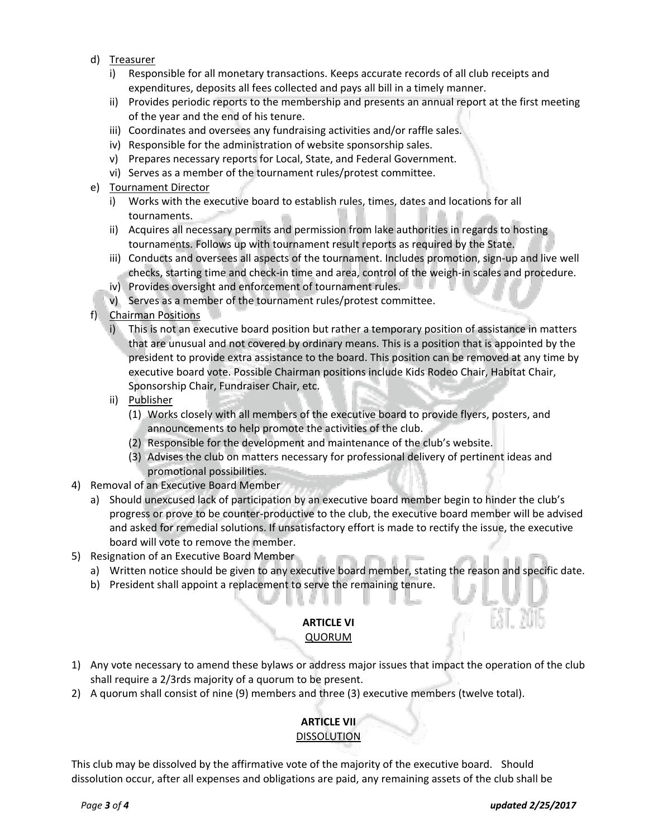- d) Treasurer
	- i) Responsible for all monetary transactions. Keeps accurate records of all club receipts and expenditures, deposits all fees collected and pays all bill in a timely manner.
	- ii) Provides periodic reports to the membership and presents an annual report at the first meeting of the year and the end of his tenure.
	- iii) Coordinates and oversees any fundraising activities and/or raffle sales.
	- iv) Responsible for the administration of website sponsorship sales.
	- v) Prepares necessary reports for Local, State, and Federal Government.
	- vi) Serves as a member of the tournament rules/protest committee.
- e) Tournament Director
	- i) Works with the executive board to establish rules, times, dates and locations for all tournaments.
	- ii) Acquires all necessary permits and permission from lake authorities in regards to hosting tournaments. Follows up with tournament result reports as required by the State.
	- iii) Conducts and oversees all aspects of the tournament. Includes promotion, sign-up and live well checks, starting time and check-in time and area, control of the weigh-in scales and procedure.
	- iv) Provides oversight and enforcement of tournament rules.
	- v) Serves as a member of the tournament rules/protest committee.
- f) Chairman Positions
	- i) This is not an executive board position but rather a temporary position of assistance in matters that are unusual and not covered by ordinary means. This is a position that is appointed by the president to provide extra assistance to the board. This position can be removed at any time by executive board vote. Possible Chairman positions include Kids Rodeo Chair, Habitat Chair, Sponsorship Chair, Fundraiser Chair, etc.
	- ii) Publisher
		- (1) Works closely with all members of the executive board to provide flyers, posters, and announcements to help promote the activities of the club.
		- (2) Responsible for the development and maintenance of the club's website.
		- (3) Advises the club on matters necessary for professional delivery of pertinent ideas and promotional possibilities.
- 4) Removal of an Executive Board Member
	- a) Should unexcused lack of participation by an executive board member begin to hinder the club's progress or prove to be counter-productive to the club, the executive board member will be advised and asked for remedial solutions. If unsatisfactory effort is made to rectify the issue, the executive board will vote to remove the member.
- 5) Resignation of an Executive Board Member
	- a) Written notice should be given to any executive board member, stating the reason and specific date.
	- b) President shall appoint a replacement to serve the remaining tenure.

## **ARTICLE VI**

**ALC 1999** 

#### QUORUM

- 1) Any vote necessary to amend these bylaws or address major issues that impact the operation of the club shall require a 2/3rds majority of a quorum to be present.
- 2) A quorum shall consist of nine (9) members and three (3) executive members (twelve total).

## **ARTICLE VII DISSOLUTION**

This club may be dissolved by the affirmative vote of the majority of the executive board. Should dissolution occur, after all expenses and obligations are paid, any remaining assets of the club shall be